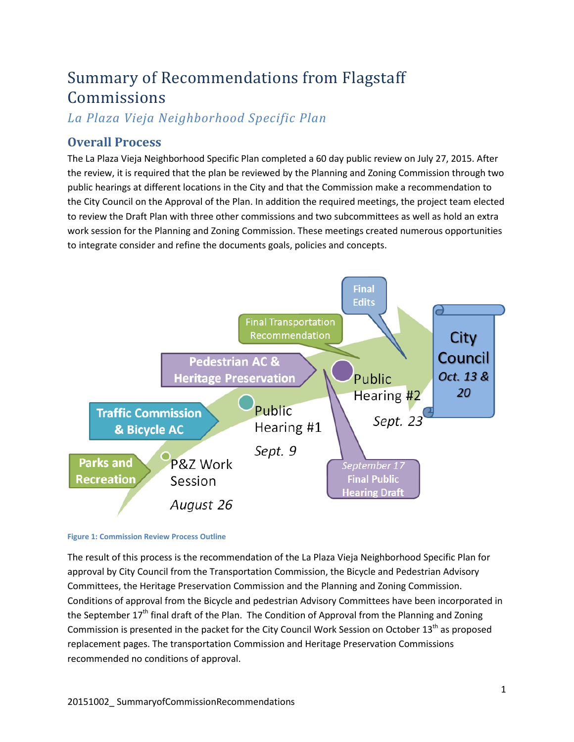# Summary of Recommendations from Flagstaff Commissions

*La Plaza Vieja Neighborhood Specific Plan*

## **Overall Process**

The La Plaza Vieja Neighborhood Specific Plan completed a 60 day public review on July 27, 2015. After the review, it is required that the plan be reviewed by the Planning and Zoning Commission through two public hearings at different locations in the City and that the Commission make a recommendation to the City Council on the Approval of the Plan. In addition the required meetings, the project team elected to review the Draft Plan with three other commissions and two subcommittees as well as hold an extra work session for the Planning and Zoning Commission. These meetings created numerous opportunities to integrate consider and refine the documents goals, policies and concepts.



#### **Figure 1: Commission Review Process Outline**

The result of this process is the recommendation of the La Plaza Vieja Neighborhood Specific Plan for approval by City Council from the Transportation Commission, the Bicycle and Pedestrian Advisory Committees, the Heritage Preservation Commission and the Planning and Zoning Commission. Conditions of approval from the Bicycle and pedestrian Advisory Committees have been incorporated in the September  $17<sup>th</sup>$  final draft of the Plan. The Condition of Approval from the Planning and Zoning Commission is presented in the packet for the City Council Work Session on October  $13<sup>th</sup>$  as proposed replacement pages. The transportation Commission and Heritage Preservation Commissions recommended no conditions of approval.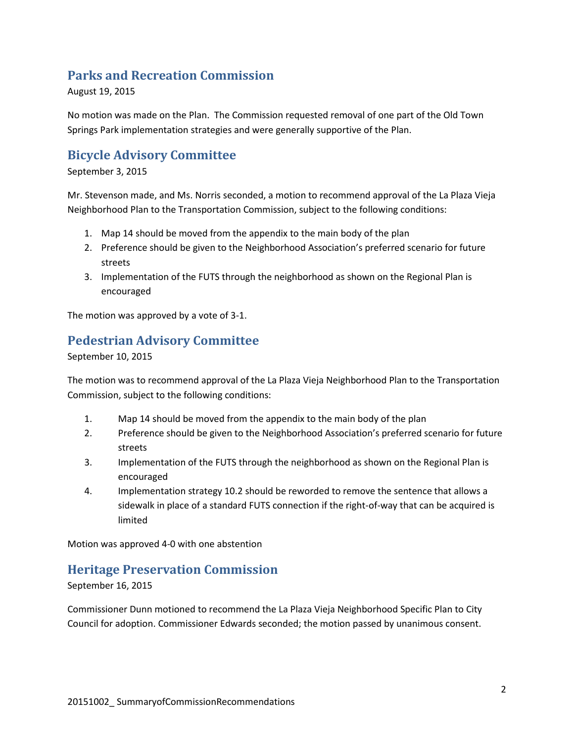#### **Parks and Recreation Commission**

August 19, 2015

No motion was made on the Plan. The Commission requested removal of one part of the Old Town Springs Park implementation strategies and were generally supportive of the Plan.

#### **Bicycle Advisory Committee**

#### September 3, 2015

Mr. Stevenson made, and Ms. Norris seconded, a motion to recommend approval of the La Plaza Vieja Neighborhood Plan to the Transportation Commission, subject to the following conditions:

- 1. Map 14 should be moved from the appendix to the main body of the plan
- 2. Preference should be given to the Neighborhood Association's preferred scenario for future streets
- 3. Implementation of the FUTS through the neighborhood as shown on the Regional Plan is encouraged

The motion was approved by a vote of 3-1.

#### **Pedestrian Advisory Committee**

September 10, 2015

The motion was to recommend approval of the La Plaza Vieja Neighborhood Plan to the Transportation Commission, subject to the following conditions:

- 1. Map 14 should be moved from the appendix to the main body of the plan
- 2. Preference should be given to the Neighborhood Association's preferred scenario for future streets
- 3. Implementation of the FUTS through the neighborhood as shown on the Regional Plan is encouraged
- 4. Implementation strategy 10.2 should be reworded to remove the sentence that allows a sidewalk in place of a standard FUTS connection if the right-of-way that can be acquired is limited

Motion was approved 4-0 with one abstention

#### **Heritage Preservation Commission**

September 16, 2015

Commissioner Dunn motioned to recommend the La Plaza Vieja Neighborhood Specific Plan to City Council for adoption. Commissioner Edwards seconded; the motion passed by unanimous consent.